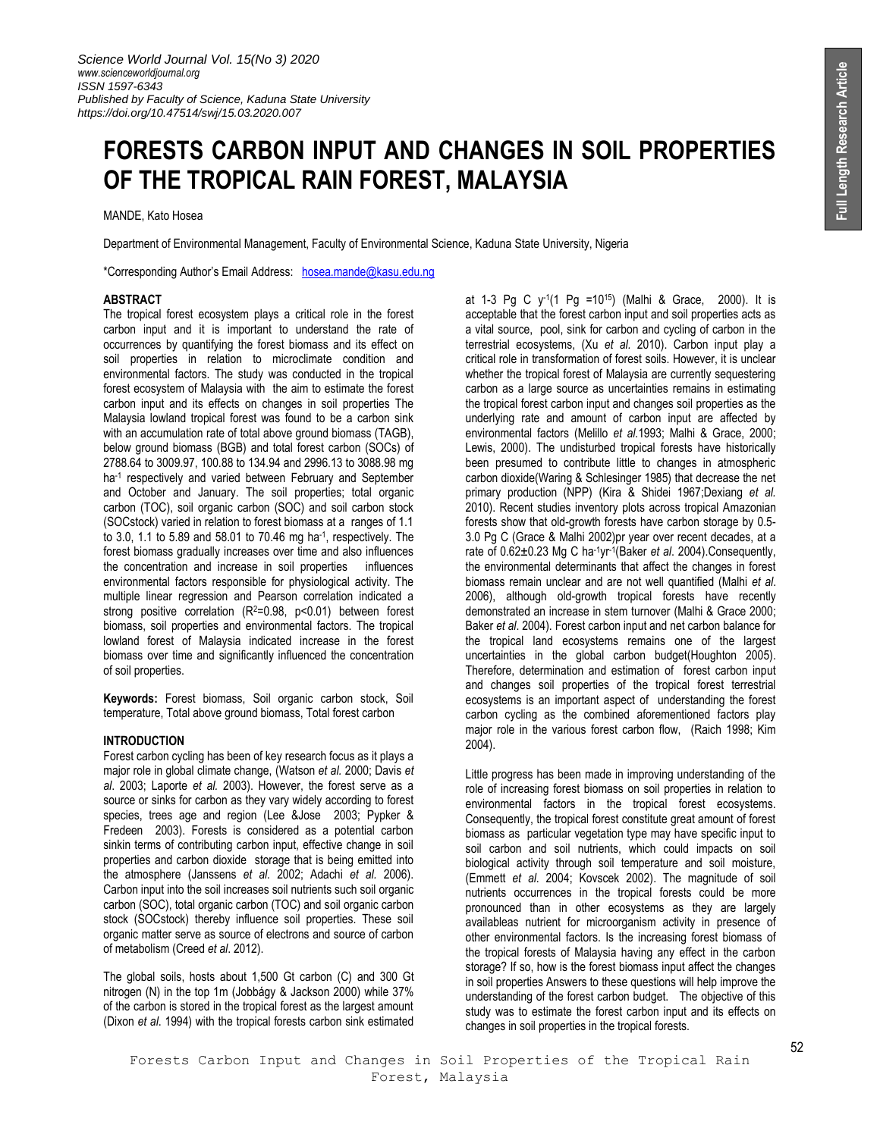# **FORESTS CARBON INPUT AND CHANGES IN SOIL PROPERTIES OF THE TROPICAL RAIN FOREST, MALAYSIA**

## MANDE, Kato Hosea

Department of Environmental Management, Faculty of Environmental Science, Kaduna State University, Nigeria

\*Corresponding Author's Email Addres[s:](mailto:imagaji05@gmail.com) [hosea.mande@kasu.edu.ng](mailto:hosea.mande@kasu.edu.ng)

# **ABSTRACT**

The tropical forest ecosystem plays a critical role in the forest carbon input and it is important to understand the rate of occurrences by quantifying the forest biomass and its effect on soil properties in relation to microclimate condition and environmental factors. The study was conducted in the tropical forest ecosystem of Malaysia with the aim to estimate the forest carbon input and its effects on changes in soil properties The Malaysia lowland tropical forest was found to be a carbon sink with an accumulation rate of total above ground biomass (TAGB), below ground biomass (BGB) and total forest carbon (SOCs) of 2788.64 to 3009.97, 100.88 to 134.94 and 2996.13 to 3088.98 mg ha<sup>-1</sup> respectively and varied between February and September and October and January. The soil properties; total organic carbon (TOC), soil organic carbon (SOC) and soil carbon stock (SOCstock) varied in relation to forest biomass at a ranges of 1.1 to 3.0, 1.1 to 5.89 and 58.01 to 70.46 mg ha<sup>-1</sup>, respectively. The forest biomass gradually increases over time and also influences the concentration and increase in soil properties influences environmental factors responsible for physiological activity. The multiple linear regression and Pearson correlation indicated a strong positive correlation (R<sup>2</sup>=0.98, p<0.01) between forest biomass, soil properties and environmental factors. The tropical lowland forest of Malaysia indicated increase in the forest biomass over time and significantly influenced the concentration of soil properties.

**Keywords:** Forest biomass, Soil organic carbon stock, Soil temperature, Total above ground biomass, Total forest carbon

# **INTRODUCTION**

Forest carbon cycling has been of key research focus as it plays a major role in global climate change, (Watson *et al.* 2000; Davis *et al*. 2003; Laporte *et al.* 2003). However, the forest serve as a source or sinks for carbon as they vary widely according to forest species, trees age and region (Lee &Jose 2003; Pypker & Fredeen 2003). Forests is considered as a potential carbon sinkin terms of contributing carbon input, effective change in soil properties and carbon dioxide storage that is being emitted into the atmosphere (Janssens *et al.* 2002; Adachi *et al.* 2006). Carbon input into the soil increases soil nutrients such soil organic carbon (SOC), total organic carbon (TOC) and soil organic carbon stock (SOCstock) thereby influence soil properties. These soil organic matter serve as source of electrons and source of carbon of metabolism (Creed *et al*. 2012).

The global soils, hosts about 1,500 Gt carbon (C) and 300 Gt nitrogen (N) in the top 1m (Jobbágy & Jackson 2000) while 37% of the carbon is stored in the tropical forest as the largest amount (Dixon *et al*. 1994) with the tropical forests carbon sink estimated

at 1-3 Pg C y-1 (1 Pg =10<sup>15</sup>) (Malhi & Grace, 2000). It is acceptable that the forest carbon input and soil properties acts as a vital source, pool, sink for carbon and cycling of carbon in the terrestrial ecosystems, (Xu *et al.* 2010). Carbon input play a critical role in transformation of forest soils. However, it is unclear whether the tropical forest of Malaysia are currently sequestering carbon as a large source as uncertainties remains in estimating the tropical forest carbon input and changes soil properties as the underlying rate and amount of carbon input are affected by environmental factors (Melillo *et al.*1993; Malhi & Grace, 2000; Lewis, 2000). The undisturbed tropical forests have historically been presumed to contribute little to changes in atmospheric carbon dioxide(Waring & Schlesinger 1985) that decrease the net primary production (NPP) (Kira & Shidei 1967;Dexiang *et al.*  2010). Recent studies inventory plots across tropical Amazonian forests show that old-growth forests have carbon storage by 0.5- 3.0 Pg C (Grace & Malhi 2002)pr year over recent decades, at a rate of 0.62±0.23 Mg C ha-1yr-1 (Baker *et al*. 2004).Consequently, the environmental determinants that affect the changes in forest biomass remain unclear and are not well quantified (Malhi *et al*. 2006), although old-growth tropical forests have recently demonstrated an increase in stem turnover (Malhi & Grace 2000; Baker *et al*. 2004). Forest carbon input and net carbon balance for the tropical land ecosystems remains one of the largest uncertainties in the global carbon budget(Houghton 2005). Therefore, determination and estimation of forest carbon input and changes soil properties of the tropical forest terrestrial ecosystems is an important aspect of understanding the forest carbon cycling as the combined aforementioned factors play major role in the various forest carbon flow, (Raich 1998; Kim 2004).

Little progress has been made in improving understanding of the role of increasing forest biomass on soil properties in relation to environmental factors in the tropical forest ecosystems. Consequently, the tropical forest constitute great amount of forest biomass as particular vegetation type may have specific input to soil carbon and soil nutrients, which could impacts on soil biological activity through soil temperature and soil moisture, (Emmett *et al*. 2004; Kovscek 2002). The magnitude of soil nutrients occurrences in the tropical forests could be more pronounced than in other ecosystems as they are largely availableas nutrient for microorganism activity in presence of other environmental factors. Is the increasing forest biomass of the tropical forests of Malaysia having any effect in the carbon storage? If so, how is the forest biomass input affect the changes in soil properties Answers to these questions will help improve the understanding of the forest carbon budget. The objective of this study was to estimate the forest carbon input and its effects on changes in soil properties in the tropical forests.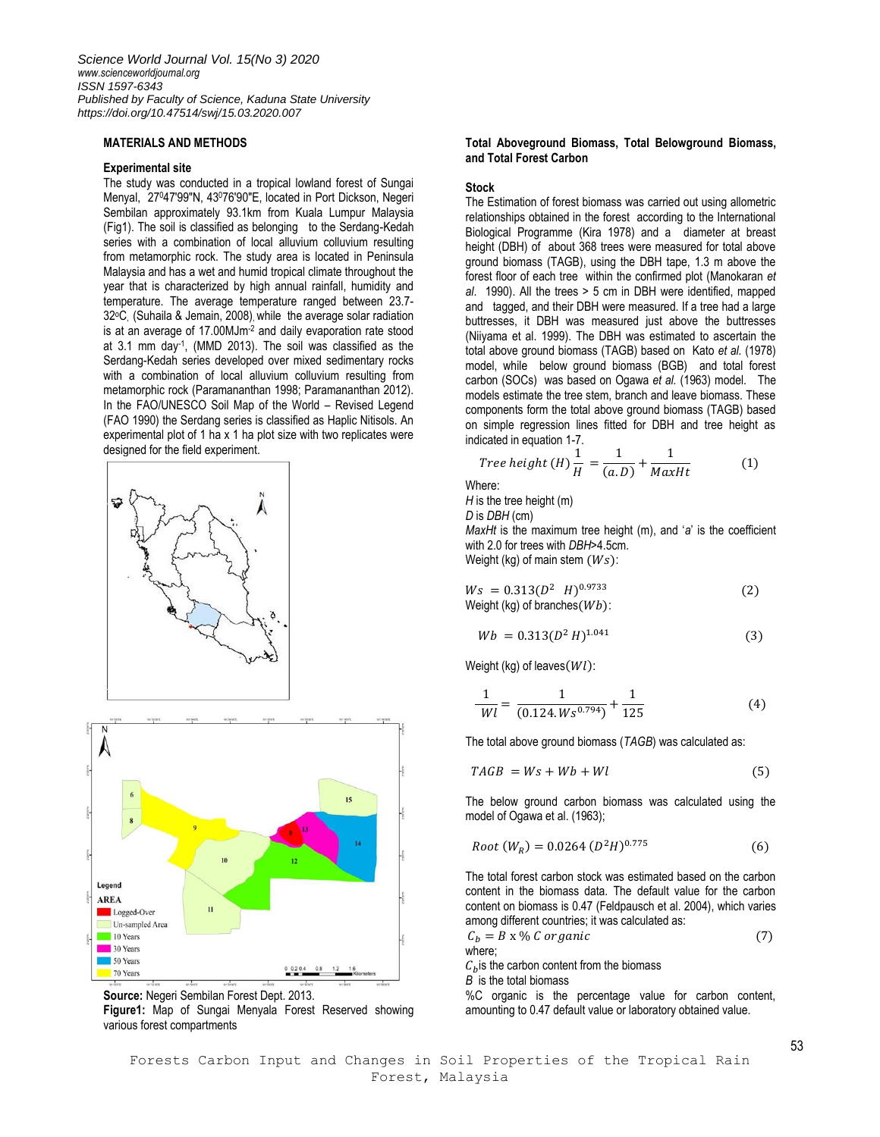## **MATERIALS AND METHODS**

# **Experimental site**

The study was conducted in a tropical lowland forest of Sungai Menyal, 27<sup>0</sup>47′99″N, 43<sup>0</sup>76′90″E, located in Port Dickson, Negeri Sembilan approximately 93.1km from Kuala Lumpur Malaysia (Fig1). The soil is classified as belonging to the Serdang-Kedah series with a combination of local alluvium colluvium resulting from metamorphic rock. The study area is located in Peninsula Malaysia and has a wet and humid tropical climate throughout the year that is characterized by high annual rainfall, humidity and temperature. The average temperature ranged between 23.7- 32<sup>o</sup>C, (Suhaila & Jemain, 2008), while the average solar radiation is at an average of 17.00MJm<sup>-2</sup> and daily evaporation rate stood at 3.1 mm day-1 , (MMD 2013). The soil was classified as the Serdang-Kedah series developed over mixed sedimentary rocks with a combination of local alluvium colluvium resulting from metamorphic rock (Paramananthan 1998; Paramananthan 2012). In the FAO/UNESCO Soil Map of the World – Revised Legend (FAO 1990) the Serdang series is classified as Haplic Nitisols. An experimental plot of 1 ha x 1 ha plot size with two replicates were designed for the field experiment.







**Figure1:** Map of Sungai Menyala Forest Reserved showing various forest compartments

# **Total Aboveground Biomass, Total Belowground Biomass, and Total Forest Carbon**

# **Stock**

The Estimation of forest biomass was carried out using allometric relationships obtained in the forest according to the International Biological Programme (Kira 1978) and a diameter at breast height (DBH) of about 368 trees were measured for total above ground biomass (TAGB), using the DBH tape, 1.3 m above the forest floor of each tree within the confirmed plot (Manokaran *et al*. 1990). All the trees > 5 cm in DBH were identified, mapped and tagged, and their DBH were measured. If a tree had a large buttresses, it DBH was measured just above the buttresses (Niiyama et al. 1999). The DBH was estimated to ascertain the total above ground biomass (TAGB) based on Kato *et al.* (1978) model, while below ground biomass (BGB) and total forest carbon (SOCs) was based on Ogawa *et al.* (1963) model. The models estimate the tree stem, branch and leave biomass. These components form the total above ground biomass (TAGB) based on simple regression lines fitted for DBH and tree height as indicated in equation 1-7.

$$
Tree \ height (H) \frac{1}{H} = \frac{1}{(a.D)} + \frac{1}{MaxHt}
$$
 (1)

Where:

*H* is the tree height (m)

*D* is *DBH* (cm)

*MaxHt* is the maximum tree height (m), and '*a*' is the coefficient with 2.0 for trees with *DBH*>4.5cm. Weight (kg) of main stem  $(Ws)$ :

 $Ws = 0.313(D^2 \ H)^{0.9733}$  (2) Weight (kg) of branches  $(Wb)$ :

$$
Wb = 0.313(D^2 H)^{1.041}
$$
 (3)

Weight (kg) of leaves  $(Wl)$ :

$$
\frac{1}{Wl} = \frac{1}{(0.124.Ws^{0.794})} + \frac{1}{125}
$$
 (4)

The total above ground biomass (*TAGB*) was calculated as:

$$
TAGB = Ws + Wb + Wl \tag{5}
$$

The below ground carbon biomass was calculated using the model of Ogawa et al. (1963);

$$
Root (W_R) = 0.0264 (D^2H)^{0.775}
$$
 (6)

The total forest carbon stock was estimated based on the carbon content in the biomass data. The default value for the carbon content on biomass is 0.47 (Feldpausch et al. 2004), which varies among different countries; it was calculated as:

$$
C_b = B \times \% C
$$
 *organic* (7)  
where;

 $C<sub>b</sub>$  is the carbon content from the biomass

*B* is the total biomass

%C organic is the percentage value for carbon content, amounting to 0.47 default value or laboratory obtained value.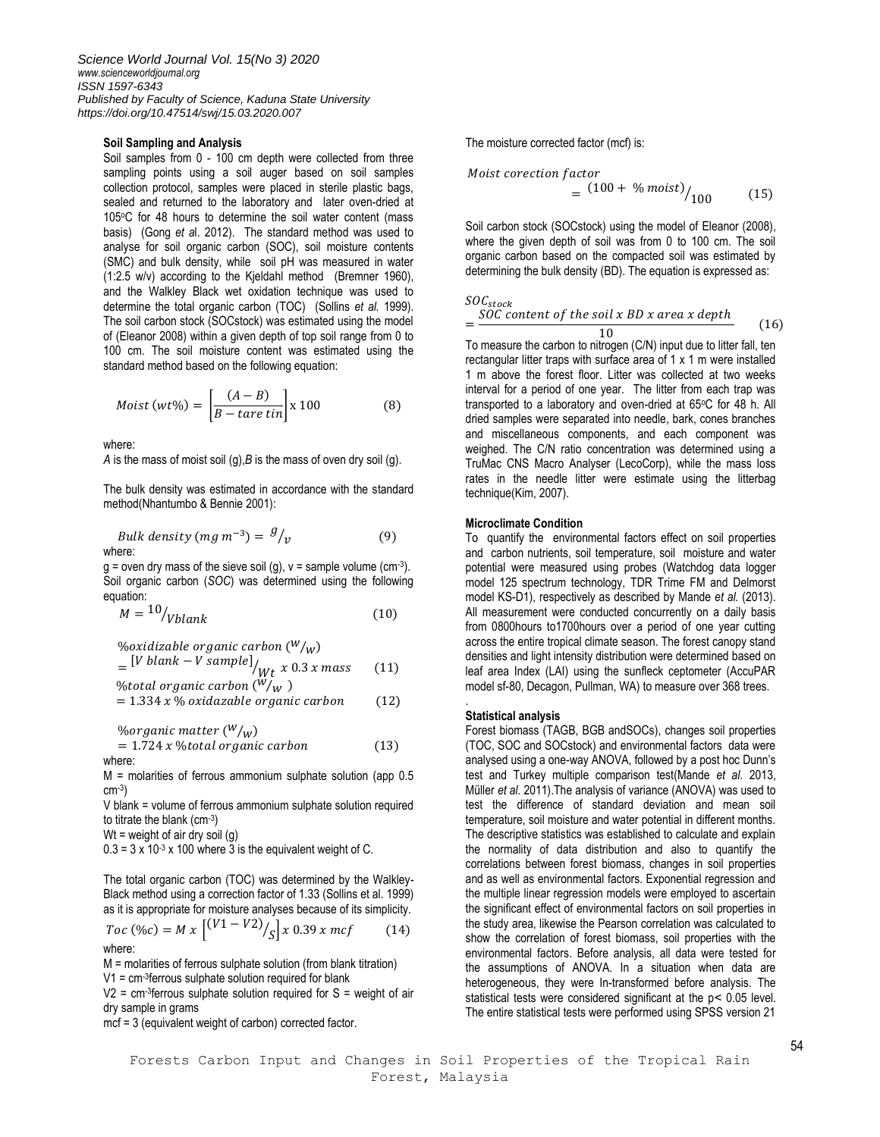# **Soil Sampling and Analysis**

Soil samples from 0 - 100 cm depth were collected from three sampling points using a soil auger based on soil samples collection protocol, samples were placed in sterile plastic bags, sealed and returned to the laboratory and later oven-dried at 105°C for 48 hours to determine the soil water content (mass basis) (Gong *et a*l. 2012). The standard method was used to analyse for soil organic carbon (SOC), soil moisture contents (SMC) and bulk density, while soil pH was measured in water (1:2.5 w/v) according to the Kjeldahl method (Bremner 1960), and the Walkley Black wet oxidation technique was used to determine the total organic carbon (TOC) (Sollins *et al.* 1999). The soil carbon stock (SOCstock) was estimated using the model of (Eleanor 2008) within a given depth of top soil range from 0 to 100 cm. The soil moisture content was estimated using the standard method based on the following equation:

$$
Moist (wt\%) = \left[\frac{(A-B)}{B - tare \, tin}\right] \times 100\tag{8}
$$

where:

*A* is the mass of moist soil (g),*B* is the mass of oven dry soil (g).

The bulk density was estimated in accordance with the standard method(Nhantumbo & Bennie 2001):

*Bulk density (mg m<sup>-3</sup>)* = 
$$
\frac{g}{v}
$$
 (9)

 $g =$  oven dry mass of the sieve soil (g),  $v =$  sample volume (cm-3). Soil organic carbon (*SOC*) was determined using the following equation:

$$
M = \frac{10}{Vblank} \tag{10}
$$

%oxidizable organic carbon (
$$
W/w
$$
)  
= [*V blank – V sample*]<sub>/Wt</sub> x 0.3 x mass (11)  
%total organic carbon ( $W/w$ )

$$
= 1.334 x % oxidazable organic carbon \qquad (12)
$$

*% organic matter*  $(W/\omega)$  $= 1.724 x$  % total organic carbon  $(13)$ 

where:

M = molarities of ferrous ammonium sulphate solution (app 0.5 cm-3 )

V blank = volume of ferrous ammonium sulphate solution required to titrate the blank (cm-3)

 $Wt$  = weight of air dry soil (g)

 $0.3 = 3 \times 10^{-3} \times 100$  where 3 is the equivalent weight of C.

The total organic carbon (TOC) was determined by the Walkley-Black method using a correction factor of 1.33 (Sollins et al. 1999) as it is appropriate for moisture analyses because of its simplicity.

*Toc* (∦*oc*) = *M* x 
$$
\begin{bmatrix} (V1 - V2) / \\ S \end{bmatrix}
$$
 x 0.39 x *mcf* (14) where:

M = molarities of ferrous sulphate solution (from blank titration) V1 = cm-3 ferrous sulphate solution required for blank

 $V2$  = cm<sup>3</sup> ferrous sulphate solution required for S = weight of air dry sample in grams

mcf = 3 (equivalent weight of carbon) corrected factor.

The moisture corrected factor (mcf) is:

$$
Mojst\,\,corection\,\,factor
$$
\n
$$
= \frac{(100 + %\,\,moist)}{100} / 100
$$
\n
$$
(15)
$$

Soil carbon stock (SOCstock) using the model of Eleanor (2008), where the given depth of soil was from 0 to 100 cm. The soil organic carbon based on the compacted soil was estimated by determining the bulk density (BD). The equation is expressed as:

$$
SOC_{stock}
$$
  
= 
$$
\frac{SOC\text{ content of the soil }x\text{ }BD\text{ }x\text{ }area\text{ }x\text{ }depth}{10}
$$
 (16)

To measure the carbon to nitrogen (C/N) input due to litter fall, ten rectangular litter traps with surface area of 1 x 1 m were installed 1 m above the forest floor. Litter was collected at two weeks interval for a period of one year. The litter from each trap was transported to a laboratory and oven-dried at 65°C for 48 h. All dried samples were separated into needle, bark, cones branches and miscellaneous components, and each component was weighed. The C/N ratio concentration was determined using a TruMac CNS Macro Analyser (LecoCorp), while the mass loss rates in the needle litter were estimate using the litterbag technique(Kim, 2007).

# **Microclimate Condition**

To quantify the environmental factors effect on soil properties and carbon nutrients, soil temperature, soil moisture and water potential were measured using probes (Watchdog data logger model 125 spectrum technology, TDR Trime FM and Delmorst model KS-D1), respectively as described by Mande *et al.* (2013). All measurement were conducted concurrently on a daily basis from 0800hours to1700hours over a period of one year cutting across the entire tropical climate season. The forest canopy stand densities and light intensity distribution were determined based on leaf area Index (LAI) using the sunfleck ceptometer (AccuPAR model sf-80, Decagon, Pullman, WA) to measure over 368 trees.

#### **Statistical analysis**

.

Forest biomass (TAGB, BGB andSOCs), changes soil properties (TOC, SOC and SOCstock) and environmental factors data were analysed using a one-way ANOVA, followed by a post hoc Dunn's test and Turkey multiple comparison test(Mande *et al.* 2013, Müller *et al.* 2011).The analysis of variance (ANOVA) was used to test the difference of standard deviation and mean soil temperature, soil moisture and water potential in different months. The descriptive statistics was established to calculate and explain the normality of data distribution and also to quantify the correlations between forest biomass, changes in soil properties and as well as environmental factors. Exponential regression and the multiple linear regression models were employed to ascertain the significant effect of environmental factors on soil properties in the study area, likewise the Pearson correlation was calculated to show the correlation of forest biomass, soil properties with the environmental factors. Before analysis, all data were tested for the assumptions of ANOVA. In a situation when data are heterogeneous, they were In-transformed before analysis. The statistical tests were considered significant at the p˂ 0.05 level. The entire statistical tests were performed using SPSS version 21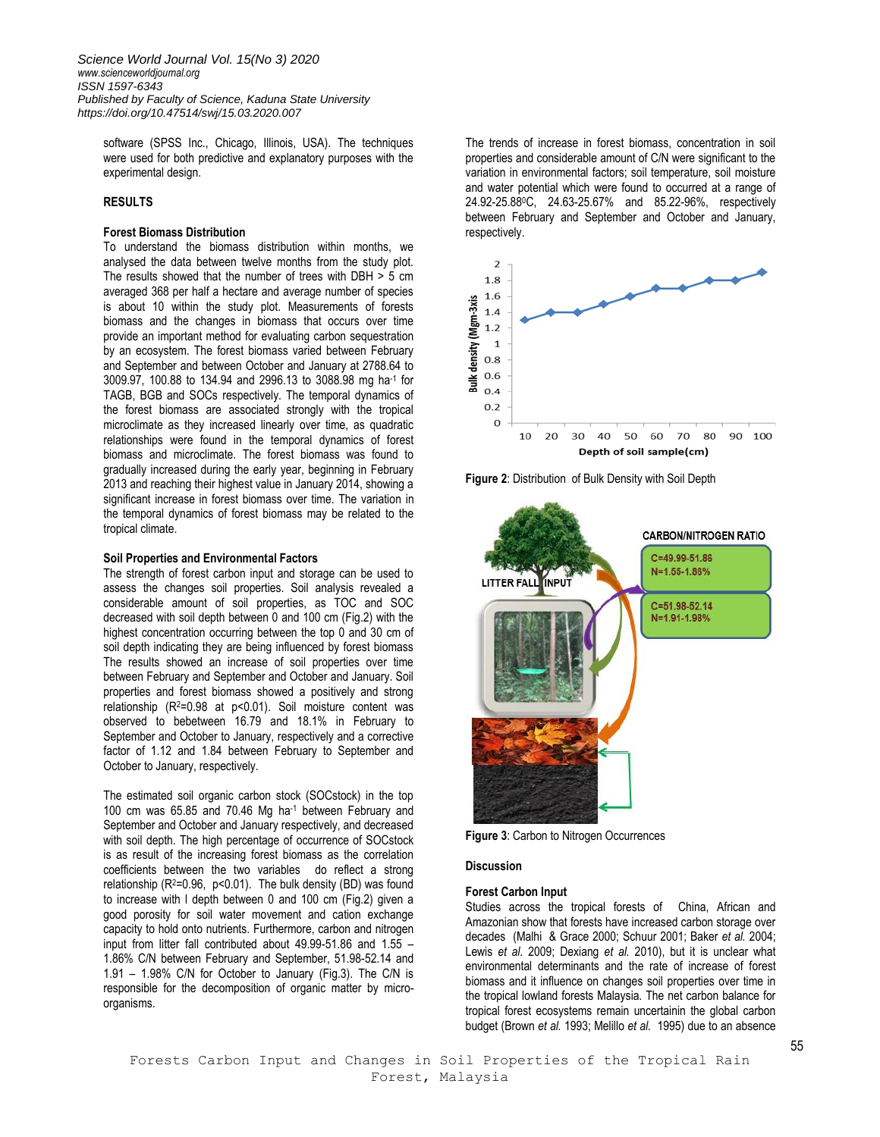software (SPSS Inc., Chicago, Illinois, USA). The techniques were used for both predictive and explanatory purposes with the experimental design.

# **RESULTS**

# **Forest Biomass Distribution**

To understand the biomass distribution within months, we analysed the data between twelve months from the study plot. The results showed that the number of trees with DBH > 5 cm averaged 368 per half a hectare and average number of species is about 10 within the study plot. Measurements of forests biomass and the changes in biomass that occurs over time provide an important method for evaluating carbon sequestration by an ecosystem. The forest biomass varied between February and September and between October and January at 2788.64 to 3009.97, 100.88 to 134.94 and 2996.13 to 3088.98 mg ha-1 for TAGB, BGB and SOCs respectively. The temporal dynamics of the forest biomass are associated strongly with the tropical microclimate as they increased linearly over time, as quadratic relationships were found in the temporal dynamics of forest biomass and microclimate. The forest biomass was found to gradually increased during the early year, beginning in February 2013 and reaching their highest value in January 2014, showing a significant increase in forest biomass over time. The variation in the temporal dynamics of forest biomass may be related to the tropical climate.

# **Soil Properties and Environmental Factors**

The strength of forest carbon input and storage can be used to assess the changes soil properties. Soil analysis revealed a considerable amount of soil properties, as TOC and SOC decreased with soil depth between 0 and 100 cm (Fig.2) with the highest concentration occurring between the top 0 and 30 cm of soil depth indicating they are being influenced by forest biomass The results showed an increase of soil properties over time between February and September and October and January. Soil properties and forest biomass showed a positively and strong relationship (R<sup>2</sup>=0.98 at p<0.01). Soil moisture content was observed to bebetween 16.79 and 18.1% in February to September and October to January, respectively and a corrective factor of 1.12 and 1.84 between February to September and October to January, respectively.

The estimated soil organic carbon stock (SOCstock) in the top 100 cm was 65.85 and 70.46 Mg ha-1 between February and September and October and January respectively, and decreased with soil depth. The high percentage of occurrence of SOCstock is as result of the increasing forest biomass as the correlation coefficients between the two variables do reflect a strong relationship (R<sup>2=0.96</sup>, p<0.01). The bulk density (BD) was found to increase with l depth between 0 and 100 cm (Fig.2) given a good porosity for soil water movement and cation exchange capacity to hold onto nutrients. Furthermore, carbon and nitrogen input from litter fall contributed about 49.99-51.86 and 1.55 – 1.86% C/N between February and September, 51.98-52.14 and 1.91 – 1.98% C/N for October to January (Fig.3). The C/N is responsible for the decomposition of organic matter by microorganisms.

The trends of increase in forest biomass, concentration in soil properties and considerable amount of C/N were significant to the variation in environmental factors; soil temperature, soil moisture and water potential which were found to occurred at a range of 24.92-25.88<sup>0</sup>C, 24.63-25.67% and 85.22-96%, respectively between February and September and October and January, respectively.







**Figure 3**: Carbon to Nitrogen Occurrences

# **Discussion**

# **Forest Carbon Input**

Studies across the tropical forests of China, African and Amazonian show that forests have increased carbon storage over decades (Malhi & Grace 2000; Schuur 2001; Baker *et al.* 2004; Lewis *et al.* 2009; Dexiang *et al.* 2010), but it is unclear what environmental determinants and the rate of increase of forest biomass and it influence on changes soil properties over time in the tropical lowland forests Malaysia. The net carbon balance for tropical forest ecosystems remain uncertainin the global carbon budget (Brown *et al.* 1993; Melillo *et al.* 1995) due to an absence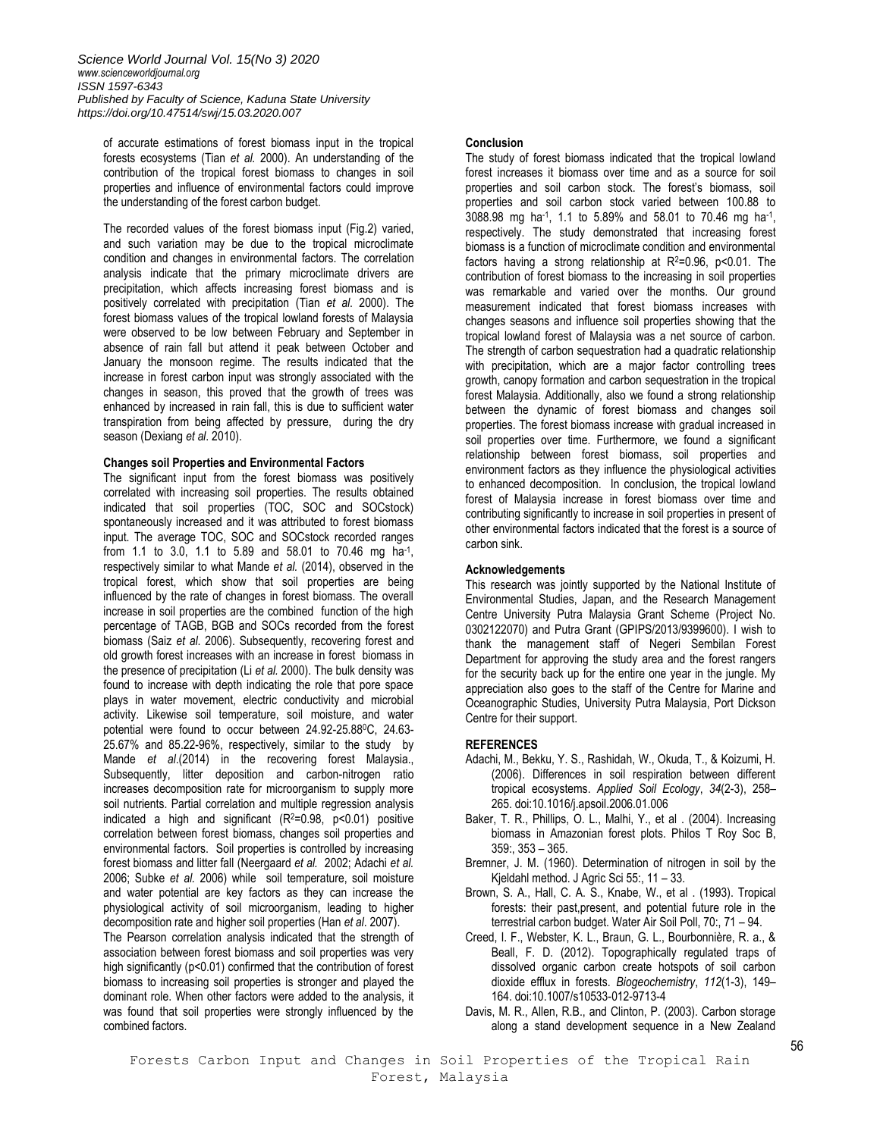of accurate estimations of forest biomass input in the tropical forests ecosystems (Tian *et al.* 2000). An understanding of the contribution of the tropical forest biomass to changes in soil properties and influence of environmental factors could improve the understanding of the forest carbon budget.

The recorded values of the forest biomass input (Fig.2) varied, and such variation may be due to the tropical microclimate condition and changes in environmental factors. The correlation analysis indicate that the primary microclimate drivers are precipitation, which affects increasing forest biomass and is positively correlated with precipitation (Tian *et al*. 2000). The forest biomass values of the tropical lowland forests of Malaysia were observed to be low between February and September in absence of rain fall but attend it peak between October and January the monsoon regime. The results indicated that the increase in forest carbon input was strongly associated with the changes in season, this proved that the growth of trees was enhanced by increased in rain fall, this is due to sufficient water transpiration from being affected by pressure, during the dry season (Dexiang *et al*. 2010).

## **Changes soil Properties and Environmental Factors**

The significant input from the forest biomass was positively correlated with increasing soil properties. The results obtained indicated that soil properties (TOC, SOC and SOCstock) spontaneously increased and it was attributed to forest biomass input. The average TOC, SOC and SOCstock recorded ranges from 1.1 to 3.0, 1.1 to 5.89 and 58.01 to 70.46 mg ha-1, respectively similar to what Mande *et al.* (2014), observed in the tropical forest, which show that soil properties are being influenced by the rate of changes in forest biomass. The overall increase in soil properties are the combined function of the high percentage of TAGB, BGB and SOCs recorded from the forest biomass (Saiz *et al*. 2006). Subsequently, recovering forest and old growth forest increases with an increase in forest biomass in the presence of precipitation (Li *et al.* 2000). The bulk density was found to increase with depth indicating the role that pore space plays in water movement, electric conductivity and microbial activity. Likewise soil temperature, soil moisture, and water potential were found to occur between 24.92-25.88<sup>0</sup>C, 24.63- 25.67% and 85.22-96%, respectively, similar to the study by Mande *et al*.(2014) in the recovering forest Malaysia., Subsequently, litter deposition and carbon-nitrogen ratio increases decomposition rate for microorganism to supply more soil nutrients. Partial correlation and multiple regression analysis indicated a high and significant  $(R^2=0.98, p<0.01)$  positive correlation between forest biomass, changes soil properties and environmental factors. Soil properties is controlled by increasing forest biomass and litter fall (Neergaard *et al.* 2002; Adachi *et al.* 2006; Subke *et al.* 2006) while soil temperature, soil moisture and water potential are key factors as they can increase the physiological activity of soil microorganism, leading to higher decomposition rate and higher soil properties (Han *et al*. 2007).

The Pearson correlation analysis indicated that the strength of association between forest biomass and soil properties was very high significantly ( $p$ <0.01) confirmed that the contribution of forest biomass to increasing soil properties is stronger and played the dominant role. When other factors were added to the analysis, it was found that soil properties were strongly influenced by the combined factors.

# **Conclusion**

The study of forest biomass indicated that the tropical lowland forest increases it biomass over time and as a source for soil properties and soil carbon stock. The forest's biomass, soil properties and soil carbon stock varied between 100.88 to 3088.98 mg ha<sup>-1</sup>, 1.1 to 5.89% and 58.01 to 70.46 mg ha<sup>-1</sup>, respectively. The study demonstrated that increasing forest biomass is a function of microclimate condition and environmental factors having a strong relationship at  $R^2=0.96$ ,  $p<0.01$ . The contribution of forest biomass to the increasing in soil properties was remarkable and varied over the months. Our ground measurement indicated that forest biomass increases with changes seasons and influence soil properties showing that the tropical lowland forest of Malaysia was a net source of carbon. The strength of carbon sequestration had a quadratic relationship with precipitation, which are a major factor controlling trees growth, canopy formation and carbon sequestration in the tropical forest Malaysia. Additionally, also we found a strong relationship between the dynamic of forest biomass and changes soil properties. The forest biomass increase with gradual increased in soil properties over time. Furthermore, we found a significant relationship between forest biomass, soil properties and environment factors as they influence the physiological activities to enhanced decomposition. In conclusion, the tropical lowland forest of Malaysia increase in forest biomass over time and contributing significantly to increase in soil properties in present of other environmental factors indicated that the forest is a source of carbon sink.

## **Acknowledgements**

This research was jointly supported by the National Institute of Environmental Studies, Japan, and the Research Management Centre University Putra Malaysia Grant Scheme (Project No. 0302122070) and Putra Grant (GPIPS/2013/9399600). I wish to thank the management staff of Negeri Sembilan Forest Department for approving the study area and the forest rangers for the security back up for the entire one year in the jungle. My appreciation also goes to the staff of the Centre for Marine and Oceanographic Studies, University Putra Malaysia, Port Dickson Centre for their support.

# **REFERENCES**

- Adachi, M., Bekku, Y. S., Rashidah, W., Okuda, T., & Koizumi, H. (2006). Differences in soil respiration between different tropical ecosystems. *Applied Soil Ecology*, *34*(2-3), 258– 265. doi:10.1016/j.apsoil.2006.01.006
- Baker, T. R., Phillips, O. L., Malhi, Y., et al . (2004). Increasing biomass in Amazonian forest plots. Philos T Roy Soc B, 359:, 353 – 365.
- Bremner, J. M. (1960). Determination of nitrogen in soil by the Kjeldahl method. J Agric Sci 55:, 11 – 33.
- Brown, S. A., Hall, C. A. S., Knabe, W., et al . (1993). Tropical forests: their past,present, and potential future role in the terrestrial carbon budget. Water Air Soil Poll, 70:, 71 – 94.
- Creed, I. F., Webster, K. L., Braun, G. L., Bourbonnière, R. a., & Beall, F. D. (2012). Topographically regulated traps of dissolved organic carbon create hotspots of soil carbon dioxide efflux in forests. *Biogeochemistry*, *112*(1-3), 149– 164. doi:10.1007/s10533-012-9713-4
- Davis, M. R., Allen, R.B., and Clinton, P. (2003). Carbon storage along a stand development sequence in a New Zealand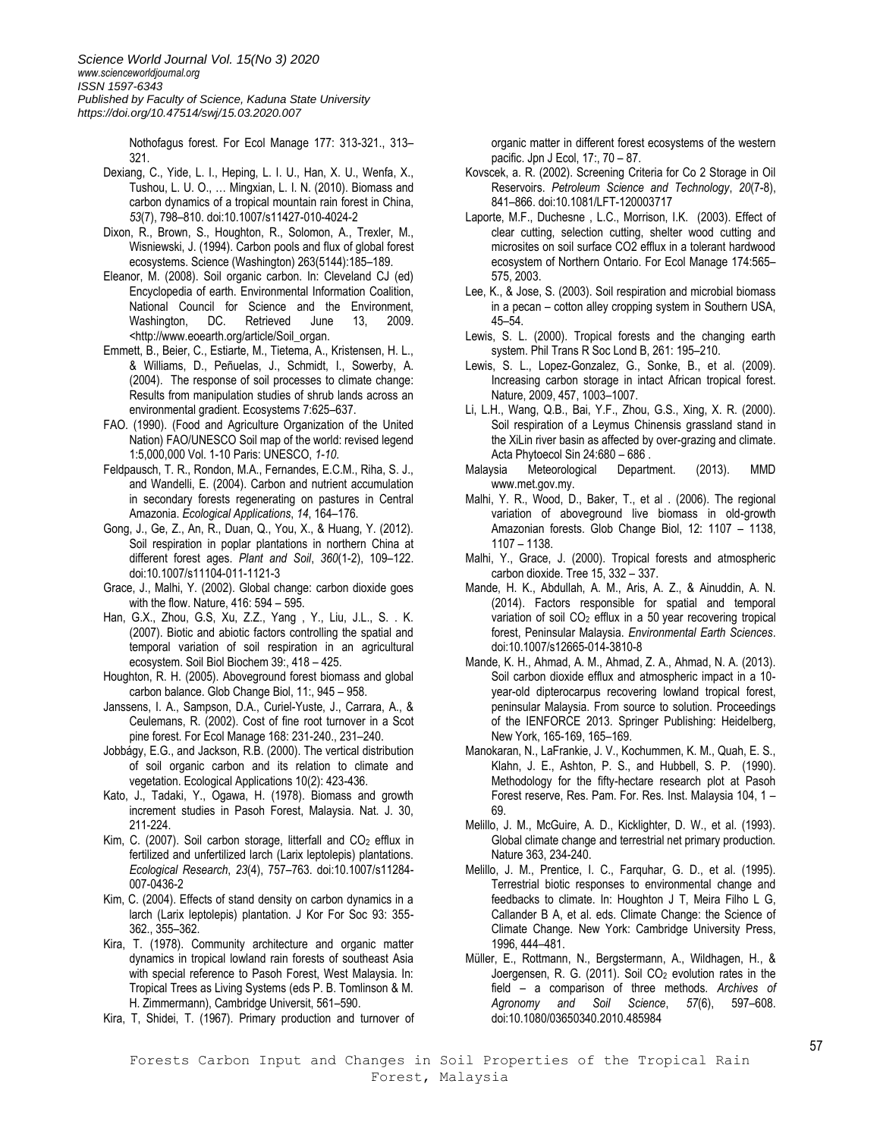*Science World Journal Vol. 15(No 3) 2020 [www.scienceworldjournal.org](http://www.scienceworldjournal.org/) ISSN 1597-6343 Published by Faculty of Science, Kaduna State University https://doi.org/10.47514/swj/15.03.2020.007*

> Nothofagus forest. For Ecol Manage 177: 313-321., 313– 321.

- Dexiang, C., Yide, L. I., Heping, L. I. U., Han, X. U., Wenfa, X., Tushou, L. U. O., … Mingxian, L. I. N. (2010). Biomass and carbon dynamics of a tropical mountain rain forest in China, *53*(7), 798–810. doi:10.1007/s11427-010-4024-2
- Dixon, R., Brown, S., Houghton, R., Solomon, A., Trexler, M., Wisniewski, J. (1994). Carbon pools and flux of global forest ecosystems. Science (Washington) 263(5144):185–189.
- Eleanor, M. (2008). Soil organic carbon. In: Cleveland CJ (ed) Encyclopedia of earth. Environmental Information Coalition, National Council for Science and the Environment, Washington, DC. Retrieved June 13, 2009. <http://www.eoearth.org/article/Soil\_organ.
- Emmett, B., Beier, C., Estiarte, M., Tietema, A., Kristensen, H. L., & Williams, D., Peñuelas, J., Schmidt, I., Sowerby, A. (2004). The response of soil processes to climate change: Results from manipulation studies of shrub lands across an environmental gradient. Ecosystems 7:625–637.
- FAO. (1990). (Food and Agriculture Organization of the United Nation) FAO/UNESCO Soil map of the world: revised legend 1:5,000,000 Vol. 1-10 Paris: UNESCO, *1-10*.
- Feldpausch, T. R., Rondon, M.A., Fernandes, E.C.M., Riha, S. J., and Wandelli, E. (2004). Carbon and nutrient accumulation in secondary forests regenerating on pastures in Central Amazonia. *Ecological Applications*, *14*, 164–176.
- Gong, J., Ge, Z., An, R., Duan, Q., You, X., & Huang, Y. (2012). Soil respiration in poplar plantations in northern China at different forest ages. *Plant and Soil*, *360*(1-2), 109–122. doi:10.1007/s11104-011-1121-3
- Grace, J., Malhi, Y. (2002). Global change: carbon dioxide goes with the flow. Nature, 416: 594 – 595.
- Han, G.X., Zhou, G.S, Xu, Z.Z., Yang , Y., Liu, J.L., S. . K. (2007). Biotic and abiotic factors controlling the spatial and temporal variation of soil respiration in an agricultural ecosystem. Soil Biol Biochem 39:, 418 – 425.
- Houghton, R. H. (2005). Aboveground forest biomass and global carbon balance. Glob Change Biol, 11:, 945 – 958.
- Janssens, I. A., Sampson, D.A., Curiel-Yuste, J., Carrara, A., & Ceulemans, R. (2002). Cost of fine root turnover in a Scot pine forest. For Ecol Manage 168: 231-240., 231–240.
- Jobbágy, E.G., and Jackson, R.B. (2000). The vertical distribution of soil organic carbon and its relation to climate and vegetation. Ecological Applications 10(2): 423-436.
- Kato, J., Tadaki, Y., Ogawa, H. (1978). Biomass and growth increment studies in Pasoh Forest, Malaysia. Nat. J. 30, 211-224.
- Kim, C. (2007). Soil carbon storage, litterfall and  $CO<sub>2</sub>$  efflux in fertilized and unfertilized larch (Larix leptolepis) plantations. *Ecological Research*, *23*(4), 757–763. doi:10.1007/s11284- 007-0436-2
- Kim, C. (2004). Effects of stand density on carbon dynamics in a larch (Larix leptolepis) plantation. J Kor For Soc 93: 355- 362., 355–362.
- Kira, T. (1978). Community architecture and organic matter dynamics in tropical lowland rain forests of southeast Asia with special reference to Pasoh Forest, West Malaysia. In: Tropical Trees as Living Systems (eds P. B. Tomlinson & M. H. Zimmermann), Cambridge Universit, 561–590.
- Kira, T, Shidei, T. (1967). Primary production and turnover of

organic matter in different forest ecosystems of the western pacific. Jpn J Ecol, 17:, 70 – 87.

- Kovscek, a. R. (2002). Screening Criteria for Co 2 Storage in Oil Reservoirs. *Petroleum Science and Technology*, *20*(7-8), 841–866. doi:10.1081/LFT-120003717
- Laporte, M.F., Duchesne , L.C., Morrison, I.K. (2003). Effect of clear cutting, selection cutting, shelter wood cutting and microsites on soil surface CO2 efflux in a tolerant hardwood ecosystem of Northern Ontario. For Ecol Manage 174:565– 575, 2003.
- Lee, K., & Jose, S. (2003). Soil respiration and microbial biomass in a pecan – cotton alley cropping system in Southern USA, 45–54.
- Lewis, S. L. (2000). Tropical forests and the changing earth system. Phil Trans R Soc Lond B, 261: 195–210.
- Lewis, S. L., Lopez-Gonzalez, G., Sonke, B., et al. (2009). Increasing carbon storage in intact African tropical forest. Nature, 2009, 457, 1003–1007.
- Li, L.H., Wang, Q.B., Bai, Y.F., Zhou, G.S., Xing, X. R. (2000). Soil respiration of a Leymus Chinensis grassland stand in the XiLin river basin as affected by over-grazing and climate. Acta Phytoecol Sin 24:680 – 686 .
- Malaysia Meteorological Department. (2013). MMD www.met.gov.my.
- Malhi, Y. R., Wood, D., Baker, T., et al . (2006). The regional variation of aboveground live biomass in old-growth Amazonian forests. Glob Change Biol, 12: 1107 – 1138, 1107 – 1138.
- Malhi, Y., Grace, J. (2000). Tropical forests and atmospheric carbon dioxide. Tree 15, 332 – 337.
- Mande, H. K., Abdullah, A. M., Aris, A. Z., & Ainuddin, A. N. (2014). Factors responsible for spatial and temporal variation of soil CO<sub>2</sub> efflux in a 50 year recovering tropical forest, Peninsular Malaysia. *Environmental Earth Sciences*. doi:10.1007/s12665-014-3810-8
- Mande, K. H., Ahmad, A. M., Ahmad, Z. A., Ahmad, N. A. (2013). Soil carbon dioxide efflux and atmospheric impact in a 10 year-old dipterocarpus recovering lowland tropical forest, peninsular Malaysia. From source to solution. Proceedings of the IENFORCE 2013. Springer Publishing: Heidelberg, New York, 165-169, 165–169.
- Manokaran, N., LaFrankie, J. V., Kochummen, K. M., Quah, E. S., Klahn, J. E., Ashton, P. S., and Hubbell, S. P. (1990). Methodology for the fifty-hectare research plot at Pasoh Forest reserve, Res. Pam. For. Res. Inst. Malaysia 104, 1 – 69.
- Melillo, J. M., McGuire, A. D., Kicklighter, D. W., et al. (1993). Global climate change and terrestrial net primary production. Nature 363, 234-240.
- Melillo, J. M., Prentice, I. C., Farquhar, G. D., et al. (1995). Terrestrial biotic responses to environmental change and feedbacks to climate. In: Houghton J T, Meira Filho L G, Callander B A, et al. eds. Climate Change: the Science of Climate Change. New York: Cambridge University Press, 1996, 444–481.
- Müller, E., Rottmann, N., Bergstermann, A., Wildhagen, H., & Joergensen, R. G. (2011). Soil  $CO<sub>2</sub>$  evolution rates in the field – a comparison of three methods. *Archives of Agronomy and Soil Science*, *57*(6), 597–608. doi:10.1080/03650340.2010.485984